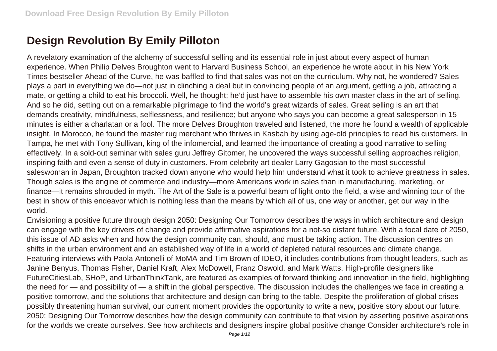## **Design Revolution By Emily Pilloton**

A revelatory examination of the alchemy of successful selling and its essential role in just about every aspect of human experience. When Philip Delves Broughton went to Harvard Business School, an experience he wrote about in his New York Times bestseller Ahead of the Curve, he was baffled to find that sales was not on the curriculum. Why not, he wondered? Sales plays a part in everything we do—not just in clinching a deal but in convincing people of an argument, getting a job, attracting a mate, or getting a child to eat his broccoli. Well, he thought; he'd just have to assemble his own master class in the art of selling. And so he did, setting out on a remarkable pilgrimage to find the world's great wizards of sales. Great selling is an art that demands creativity, mindfulness, selflessness, and resilience; but anyone who says you can become a great salesperson in 15 minutes is either a charlatan or a fool. The more Delves Broughton traveled and listened, the more he found a wealth of applicable insight. In Morocco, he found the master rug merchant who thrives in Kasbah by using age-old principles to read his customers. In Tampa, he met with Tony Sullivan, king of the infomercial, and learned the importance of creating a good narrative to selling effectively. In a sold-out seminar with sales guru Jeffrey Gitomer, he uncovered the ways successful selling approaches religion, inspiring faith and even a sense of duty in customers. From celebrity art dealer Larry Gagosian to the most successful saleswoman in Japan, Broughton tracked down anyone who would help him understand what it took to achieve greatness in sales. Though sales is the engine of commerce and industry—more Americans work in sales than in manufacturing, marketing, or finance—it remains shrouded in myth. The Art of the Sale is a powerful beam of light onto the field, a wise and winning tour of the best in show of this endeavor which is nothing less than the means by which all of us, one way or another, get our way in the world.

Envisioning a positive future through design 2050: Designing Our Tomorrow describes the ways in which architecture and design can engage with the key drivers of change and provide affirmative aspirations for a not-so distant future. With a focal date of 2050, this issue of AD asks when and how the design community can, should, and must be taking action. The discussion centres on shifts in the urban environment and an established way of life in a world of depleted natural resources and climate change. Featuring interviews with Paola Antonelli of MoMA and Tim Brown of IDEO, it includes contributions from thought leaders, such as Janine Benyus, Thomas Fisher, Daniel Kraft, Alex McDowell, Franz Oswold, and Mark Watts. High-profile designers like FutureCitiesLab, SHoP, and UrbanThinkTank, are featured as examples of forward thinking and innovation in the field, highlighting the need for — and possibility of — a shift in the global perspective. The discussion includes the challenges we face in creating a positive tomorrow, and the solutions that architecture and design can bring to the table. Despite the proliferation of global crises possibly threatening human survival, our current moment provides the opportunity to write a new, positive story about our future. 2050: Designing Our Tomorrow describes how the design community can contribute to that vision by asserting positive aspirations for the worlds we create ourselves. See how architects and designers inspire global positive change Consider architecture's role in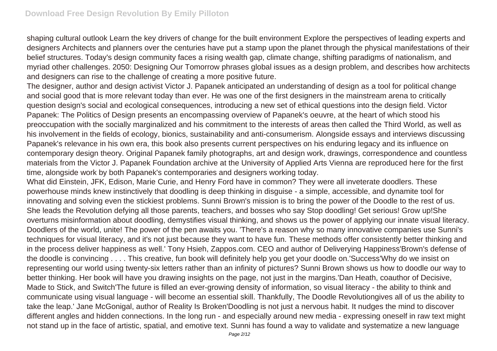shaping cultural outlook Learn the key drivers of change for the built environment Explore the perspectives of leading experts and designers Architects and planners over the centuries have put a stamp upon the planet through the physical manifestations of their belief structures. Today's design community faces a rising wealth gap, climate change, shifting paradigms of nationalism, and myriad other challenges. 2050: Designing Our Tomorrow phrases global issues as a design problem, and describes how architects and designers can rise to the challenge of creating a more positive future.

The designer, author and design activist Victor J. Papanek anticipated an understanding of design as a tool for political change and social good that is more relevant today than ever. He was one of the first designers in the mainstream arena to critically question design's social and ecological consequences, introducing a new set of ethical questions into the design field. Victor Papanek: The Politics of Design presents an encompassing overview of Papanek's oeuvre, at the heart of which stood his preoccupation with the socially marginalized and his commitment to the interests of areas then called the Third World, as well as his involvement in the fields of ecology, bionics, sustainability and anti-consumerism. Alongside essays and interviews discussing Papanek's relevance in his own era, this book also presents current perspectives on his enduring legacy and its influence on contemporary design theory. Original Papanek family photographs, art and design work, drawings, correspondence and countless materials from the Victor J. Papanek Foundation archive at the University of Applied Arts Vienna are reproduced here for the first time, alongside work by both Papanek's contemporaries and designers working today.

What did Einstein, JFK, Edison, Marie Curie, and Henry Ford have in common? They were all inveterate doodlers. These powerhouse minds knew instinctively that doodling is deep thinking in disguise - a simple, accessible, and dynamite tool for innovating and solving even the stickiest problems. Sunni Brown's mission is to bring the power of the Doodle to the rest of us. She leads the Revolution defying all those parents, teachers, and bosses who say Stop doodling! Get serious! Grow up!She overturns misinformation about doodling, demystifies visual thinking, and shows us the power of applying our innate visual literacy. Doodlers of the world, unite! The power of the pen awaits you. 'There's a reason why so many innovative companies use Sunni's techniques for visual literacy, and it's not just because they want to have fun. These methods offer consistently better thinking and in the process deliver happiness as well.' Tony Hsieh, Zappos.com. CEO and author of Deliverying Happiness'Brown's defense of the doodle is convincing . . . . This creative, fun book will definitely help you get your doodle on.'Success'Why do we insist on representing our world using twenty-six letters rather than an infinity of pictures? Sunni Brown shows us how to doodle our way to better thinking. Her book will have you drawing insights on the page, not just in the margins.'Dan Heath, coauthor of Decisive, Made to Stick, and Switch'The future is filled an ever-growing density of information, so visual literacy - the ability to think and communicate using visual language - will become an essential skill. Thankfully, The Doodle Revolutiongives all of us the ability to take the leap.' Jane McGonigal, author of Reality Is Broken'Doodling is not just a nervous habit. It nudges the mind to discover different angles and hidden connections. In the long run - and especially around new media - expressing oneself in raw text might not stand up in the face of artistic, spatial, and emotive text. Sunni has found a way to validate and systematize a new language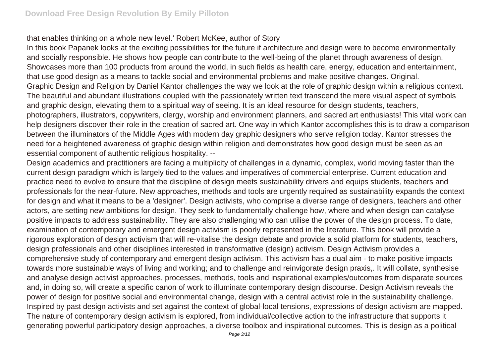that enables thinking on a whole new level.' Robert McKee, author of Story

In this book Papanek looks at the exciting possibilities for the future if architecture and design were to become environmentally and socially responsible. He shows how people can contribute to the well-being of the planet through awareness of design. Showcases more than 100 products from around the world, in such fields as health care, energy, education and entertainment, that use good design as a means to tackle social and environmental problems and make positive changes. Original. Graphic Design and Religion by Daniel Kantor challenges the way we look at the role of graphic design within a religious context. The beautiful and abundant illustrations coupled with the passionately written text transcend the mere visual aspect of symbols and graphic design, elevating them to a spiritual way of seeing. It is an ideal resource for design students, teachers, photographers, illustrators, copywriters, clergy, worship and environment planners, and sacred art enthusiasts! This vital work can help designers discover their role in the creation of sacred art. One way in which Kantor accomplishes this is to draw a comparison between the illuminators of the Middle Ages with modern day graphic designers who serve religion today. Kantor stresses the need for a heightened awareness of graphic design within religion and demonstrates how good design must be seen as an essential component of authentic religious hospitality. --

Design academics and practitioners are facing a multiplicity of challenges in a dynamic, complex, world moving faster than the current design paradigm which is largely tied to the values and imperatives of commercial enterprise. Current education and practice need to evolve to ensure that the discipline of design meets sustainability drivers and equips students, teachers and professionals for the near-future. New approaches, methods and tools are urgently required as sustainability expands the context for design and what it means to be a 'designer'. Design activists, who comprise a diverse range of designers, teachers and other actors, are setting new ambitions for design. They seek to fundamentally challenge how, where and when design can catalyse positive impacts to address sustainability. They are also challenging who can utilise the power of the design process. To date, examination of contemporary and emergent design activism is poorly represented in the literature. This book will provide a rigorous exploration of design activism that will re-vitalise the design debate and provide a solid platform for students, teachers, design professionals and other disciplines interested in transformative (design) activism. Design Activism provides a comprehensive study of contemporary and emergent design activism. This activism has a dual aim - to make positive impacts towards more sustainable ways of living and working; and to challenge and reinvigorate design praxis,. It will collate, synthesise and analyse design activist approaches, processes, methods, tools and inspirational examples/outcomes from disparate sources and, in doing so, will create a specific canon of work to illuminate contemporary design discourse. Design Activism reveals the power of design for positive social and environmental change, design with a central activist role in the sustainability challenge. Inspired by past design activists and set against the context of global-local tensions, expressions of design activism are mapped. The nature of contemporary design activism is explored, from individual/collective action to the infrastructure that supports it generating powerful participatory design approaches, a diverse toolbox and inspirational outcomes. This is design as a political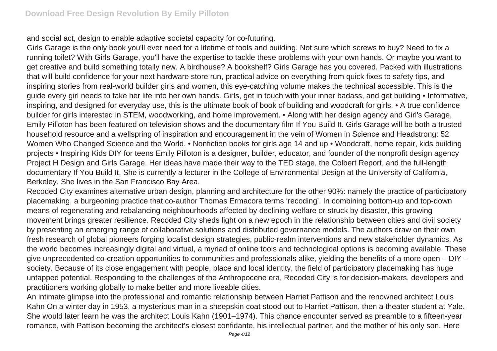and social act, design to enable adaptive societal capacity for co-futuring.

Girls Garage is the only book you'll ever need for a lifetime of tools and building. Not sure which screws to buy? Need to fix a running toilet? With Girls Garage, you'll have the expertise to tackle these problems with your own hands. Or maybe you want to get creative and build something totally new. A birdhouse? A bookshelf? Girls Garage has you covered. Packed with illustrations that will build confidence for your next hardware store run, practical advice on everything from quick fixes to safety tips, and inspiring stories from real-world builder girls and women, this eye-catching volume makes the technical accessible. This is the guide every girl needs to take her life into her own hands. Girls, get in touch with your inner badass, and get building • Informative, inspiring, and designed for everyday use, this is the ultimate book of book of building and woodcraft for girls. • A true confidence builder for girls interested in STEM, woodworking, and home improvement. • Along with her design agency and Girl's Garage, Emily Pilloton has been featured on television shows and the documentary film If You Build It. Girls Garage will be both a trusted household resource and a wellspring of inspiration and encouragement in the vein of Women in Science and Headstrong: 52 Women Who Changed Science and the World. • Nonfiction books for girls age 14 and up • Woodcraft, home repair, kids building projects • Inspiring Kids DIY for teens Emily Pilloton is a designer, builder, educator, and founder of the nonprofit design agency Project H Design and Girls Garage. Her ideas have made their way to the TED stage, the Colbert Report, and the full-length documentary If You Build It. She is currently a lecturer in the College of Environmental Design at the University of California, Berkeley. She lives in the San Francisco Bay Area.

Recoded City examines alternative urban design, planning and architecture for the other 90%: namely the practice of participatory placemaking, a burgeoning practice that co-author Thomas Ermacora terms 'recoding'. In combining bottom-up and top-down means of regenerating and rebalancing neighbourhoods affected by declining welfare or struck by disaster, this growing movement brings greater resilience. Recoded City sheds light on a new epoch in the relationship between cities and civil society by presenting an emerging range of collaborative solutions and distributed governance models. The authors draw on their own fresh research of global pioneers forging localist design strategies, public-realm interventions and new stakeholder dynamics. As the world becomes increasingly digital and virtual, a myriad of online tools and technological options is becoming available. These give unprecedented co-creation opportunities to communities and professionals alike, yielding the benefits of a more open – DIY – society. Because of its close engagement with people, place and local identity, the field of participatory placemaking has huge untapped potential. Responding to the challenges of the Anthropocene era, Recoded City is for decision-makers, developers and practitioners working globally to make better and more liveable cities.

An intimate glimpse into the professional and romantic relationship between Harriet Pattison and the renowned architect Louis Kahn On a winter day in 1953, a mysterious man in a sheepskin coat stood out to Harriet Pattison, then a theater student at Yale. She would later learn he was the architect Louis Kahn (1901–1974). This chance encounter served as preamble to a fifteen-year romance, with Pattison becoming the architect's closest confidante, his intellectual partner, and the mother of his only son. Here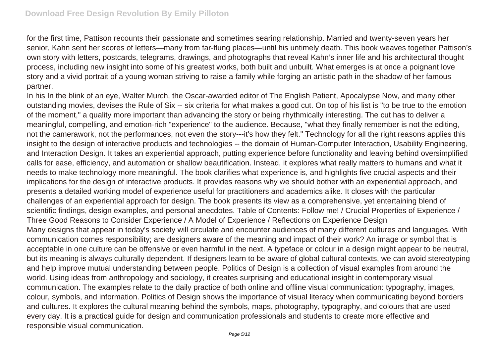for the first time, Pattison recounts their passionate and sometimes searing relationship. Married and twenty-seven years her senior, Kahn sent her scores of letters—many from far-flung places—until his untimely death. This book weaves together Pattison's own story with letters, postcards, telegrams, drawings, and photographs that reveal Kahn's inner life and his architectural thought process, including new insight into some of his greatest works, both built and unbuilt. What emerges is at once a poignant love story and a vivid portrait of a young woman striving to raise a family while forging an artistic path in the shadow of her famous partner.

In his In the blink of an eye, Walter Murch, the Oscar-awarded editor of The English Patient, Apocalypse Now, and many other outstanding movies, devises the Rule of Six -- six criteria for what makes a good cut. On top of his list is "to be true to the emotion of the moment," a quality more important than advancing the story or being rhythmically interesting. The cut has to deliver a meaningful, compelling, and emotion-rich "experience" to the audience. Because, "what they finally remember is not the editing, not the camerawork, not the performances, not even the story---it's how they felt." Technology for all the right reasons applies this insight to the design of interactive products and technologies -- the domain of Human-Computer Interaction, Usability Engineering, and Interaction Design. It takes an experiential approach, putting experience before functionality and leaving behind oversimplified calls for ease, efficiency, and automation or shallow beautification. Instead, it explores what really matters to humans and what it needs to make technology more meaningful. The book clarifies what experience is, and highlights five crucial aspects and their implications for the design of interactive products. It provides reasons why we should bother with an experiential approach, and presents a detailed working model of experience useful for practitioners and academics alike. It closes with the particular challenges of an experiential approach for design. The book presents its view as a comprehensive, yet entertaining blend of scientific findings, design examples, and personal anecdotes. Table of Contents: Follow me! / Crucial Properties of Experience / Three Good Reasons to Consider Experience / A Model of Experience / Reflections on Experience Design Many designs that appear in today's society will circulate and encounter audiences of many different cultures and languages. With communication comes responsibility; are designers aware of the meaning and impact of their work? An image or symbol that is acceptable in one culture can be offensive or even harmful in the next. A typeface or colour in a design might appear to be neutral, but its meaning is always culturally dependent. If designers learn to be aware of global cultural contexts, we can avoid stereotyping and help improve mutual understanding between people. Politics of Design is a collection of visual examples from around the world. Using ideas from anthropology and sociology, it creates surprising and educational insight in contemporary visual communication. The examples relate to the daily practice of both online and offline visual communication: typography, images, colour, symbols, and information. Politics of Design shows the importance of visual literacy when communicating beyond borders and cultures. It explores the cultural meaning behind the symbols, maps, photography, typography, and colours that are used every day. It is a practical guide for design and communication professionals and students to create more effective and responsible visual communication.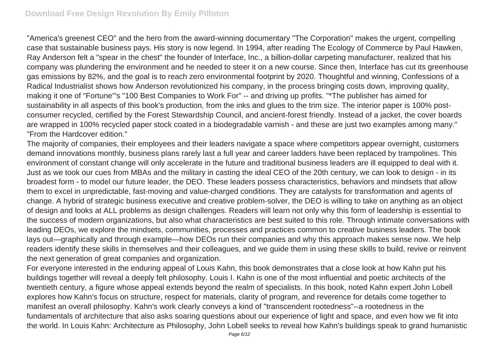"America's greenest CEO" and the hero from the award-winning documentary "The Corporation" makes the urgent, compelling case that sustainable business pays. His story is now legend. In 1994, after reading The Ecology of Commerce by Paul Hawken, Ray Anderson felt a "spear in the chest" the founder of Interface, Inc., a billion-dollar carpeting manufacturer, realized that his company was plundering the environment and he needed to steer it on a new course. Since then, Interface has cut its greenhouse gas emissions by 82%, and the goal is to reach zero environmental footprint by 2020. Thoughtful and winning, Confessions of a Radical Industrialist shows how Anderson revolutionized his company, in the process bringing costs down, improving quality, making it one of "Fortune"'s "100 Best Companies to Work For" -- and driving up profits. "\*The publisher has aimed for sustainability in all aspects of this book's production, from the inks and glues to the trim size. The interior paper is 100% postconsumer recycled, certified by the Forest Stewardship Council, and ancient-forest friendly. Instead of a jacket, the cover boards are wrapped in 100% recycled paper stock coated in a biodegradable varnish - and these are just two examples among many." "From the Hardcover edition."

The majority of companies, their employees and their leaders navigate a space where competitors appear overnight, customers demand innovations monthly, business plans rarely last a full year and career ladders have been replaced by trampolines. This environment of constant change will only accelerate in the future and traditional business leaders are ill equipped to deal with it. Just as we took our cues from MBAs and the military in casting the ideal CEO of the 20th century, we can look to design - in its broadest form - to model our future leader, the DEO. These leaders possess characteristics, behaviors and mindsets that allow them to excel in unpredictable, fast-moving and value-charged conditions. They are catalysts for transformation and agents of change. A hybrid of strategic business executive and creative problem-solver, the DEO is willing to take on anything as an object of design and looks at ALL problems as design challenges. Readers will learn not only why this form of leadership is essential to the success of modern organizations, but also what characteristics are best suited to this role. Through intimate conversations with leading DEOs, we explore the mindsets, communities, processes and practices common to creative business leaders. The book lays out—graphically and through example—how DEOs run their companies and why this approach makes sense now. We help readers identify these skills in themselves and their colleagues, and we guide them in using these skills to build, revive or reinvent the next generation of great companies and organization.

For everyone interested in the enduring appeal of Louis Kahn, this book demonstrates that a close look at how Kahn put his buildings together will reveal a deeply felt philosophy. Louis I. Kahn is one of the most influential and poetic architects of the twentieth century, a figure whose appeal extends beyond the realm of specialists. In this book, noted Kahn expert John Lobell explores how Kahn's focus on structure, respect for materials, clarity of program, and reverence for details come together to manifest an overall philosophy. Kahn's work clearly conveys a kind of "transcendent rootedness"--a rootedness in the fundamentals of architecture that also asks soaring questions about our experience of light and space, and even how we fit into the world. In Louis Kahn: Architecture as Philosophy, John Lobell seeks to reveal how Kahn's buildings speak to grand humanistic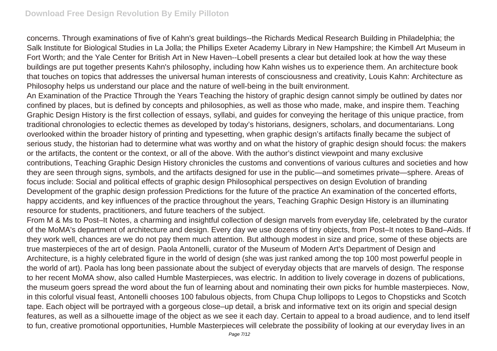concerns. Through examinations of five of Kahn's great buildings--the Richards Medical Research Building in Philadelphia; the Salk Institute for Biological Studies in La Jolla; the Phillips Exeter Academy Library in New Hampshire; the Kimbell Art Museum in Fort Worth; and the Yale Center for British Art in New Haven--Lobell presents a clear but detailed look at how the way these buildings are put together presents Kahn's philosophy, including how Kahn wishes us to experience them. An architecture book that touches on topics that addresses the universal human interests of consciousness and creativity, Louis Kahn: Architecture as Philosophy helps us understand our place and the nature of well-being in the built environment.

An Examination of the Practice Through the Years Teaching the history of graphic design cannot simply be outlined by dates nor confined by places, but is defined by concepts and philosophies, as well as those who made, make, and inspire them. Teaching Graphic Design History is the first collection of essays, syllabi, and guides for conveying the heritage of this unique practice, from traditional chronologies to eclectic themes as developed by today's historians, designers, scholars, and documentarians. Long overlooked within the broader history of printing and typesetting, when graphic design's artifacts finally became the subject of serious study, the historian had to determine what was worthy and on what the history of graphic design should focus: the makers or the artifacts, the content or the context, or all of the above. With the author's distinct viewpoint and many exclusive contributions, Teaching Graphic Design History chronicles the customs and conventions of various cultures and societies and how they are seen through signs, symbols, and the artifacts designed for use in the public—and sometimes private—sphere. Areas of focus include: Social and political effects of graphic design Philosophical perspectives on design Evolution of branding Development of the graphic design profession Predictions for the future of the practice An examination of the concerted efforts, happy accidents, and key influences of the practice throughout the years, Teaching Graphic Design History is an illuminating resource for students, practitioners, and future teachers of the subject.

From M & Ms to Post–It Notes, a charming and insightful collection of design marvels from everyday life, celebrated by the curator of the MoMA's department of architecture and design. Every day we use dozens of tiny objects, from Post–It notes to Band–Aids. If they work well, chances are we do not pay them much attention. But although modest in size and price, some of these objects are true masterpieces of the art of design. Paola Antonelli, curator of the Museum of Modern Art's Department of Design and Architecture, is a highly celebrated figure in the world of design (she was just ranked among the top 100 most powerful people in the world of art). Paola has long been passionate about the subject of everyday objects that are marvels of design. The response to her recent MoMA show, also called Humble Masterpieces, was electric. In addition to lively coverage in dozens of publications, the museum goers spread the word about the fun of learning about and nominating their own picks for humble masterpieces. Now, in this colorful visual feast, Antonelli chooses 100 fabulous objects, from Chupa Chup lollipops to Legos to Chopsticks and Scotch tape. Each object will be portrayed with a gorgeous close–up detail, a brisk and informative text on its origin and special design features, as well as a silhouette image of the object as we see it each day. Certain to appeal to a broad audience, and to lend itself to fun, creative promotional opportunities, Humble Masterpieces will celebrate the possibility of looking at our everyday lives in an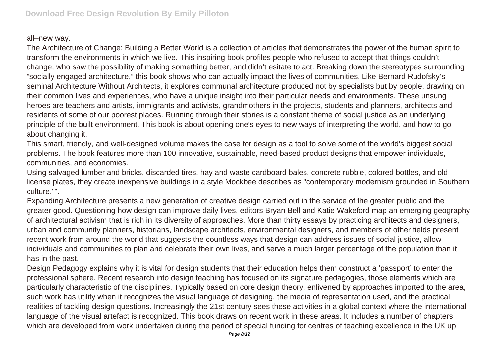## all–new way.

The Architecture of Change: Building a Better World is a collection of articles that demonstrates the power of the human spirit to transform the environments in which we live. This inspiring book profiles people who refused to accept that things couldn't change, who saw the possibility of making something better, and didn't esitate to act. Breaking down the stereotypes surrounding "socially engaged architecture," this book shows who can actually impact the lives of communities. Like Bernard Rudofsky's seminal Architecture Without Architects, it explores communal architecture produced not by specialists but by people, drawing on their common lives and experiences, who have a unique insight into their particular needs and environments. These unsung heroes are teachers and artists, immigrants and activists, grandmothers in the projects, students and planners, architects and residents of some of our poorest places. Running through their stories is a constant theme of social justice as an underlying principle of the built environment. This book is about opening one's eyes to new ways of interpreting the world, and how to go about changing it.

This smart, friendly, and well-designed volume makes the case for design as a tool to solve some of the world's biggest social problems. The book features more than 100 innovative, sustainable, need-based product designs that empower individuals, communities, and economies.

Using salvaged lumber and bricks, discarded tires, hay and waste cardboard bales, concrete rubble, colored bottles, and old license plates, they create inexpensive buildings in a style Mockbee describes as "contemporary modernism grounded in Southern culture."".

Expanding Architecture presents a new generation of creative design carried out in the service of the greater public and the greater good. Questioning how design can improve daily lives, editors Bryan Bell and Katie Wakeford map an emerging geography of architectural activism that is rich in its diversity of approaches. More than thirty essays by practicing architects and designers, urban and community planners, historians, landscape architects, environmental designers, and members of other fields present recent work from around the world that suggests the countless ways that design can address issues of social justice, allow individuals and communities to plan and celebrate their own lives, and serve a much larger percentage of the population than it has in the past.

Design Pedagogy explains why it is vital for design students that their education helps them construct a 'passport' to enter the professional sphere. Recent research into design teaching has focused on its signature pedagogies, those elements which are particularly characteristic of the disciplines. Typically based on core design theory, enlivened by approaches imported to the area, such work has utility when it recognizes the visual language of designing, the media of representation used, and the practical realities of tackling design questions. Increasingly the 21st century sees these activities in a global context where the international language of the visual artefact is recognized. This book draws on recent work in these areas. It includes a number of chapters which are developed from work undertaken during the period of special funding for centres of teaching excellence in the UK up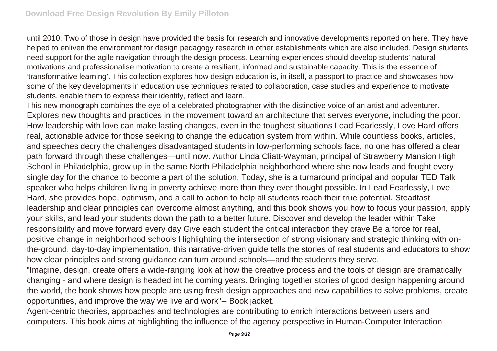until 2010. Two of those in design have provided the basis for research and innovative developments reported on here. They have helped to enliven the environment for design pedagogy research in other establishments which are also included. Design students need support for the agile navigation through the design process. Learning experiences should develop students' natural motivations and professionalise motivation to create a resilient, informed and sustainable capacity. This is the essence of 'transformative learning'. This collection explores how design education is, in itself, a passport to practice and showcases how some of the key developments in education use techniques related to collaboration, case studies and experience to motivate students, enable them to express their identity, reflect and learn.

This new monograph combines the eye of a celebrated photographer with the distinctive voice of an artist and adventurer. Explores new thoughts and practices in the movement toward an architecture that serves everyone, including the poor. How leadership with love can make lasting changes, even in the toughest situations Lead Fearlessly, Love Hard offers real, actionable advice for those seeking to change the education system from within. While countless books, articles, and speeches decry the challenges disadvantaged students in low-performing schools face, no one has offered a clear path forward through these challenges—until now. Author Linda Cliatt-Wayman, principal of Strawberry Mansion High School in Philadelphia, grew up in the same North Philadelphia neighborhood where she now leads and fought every single day for the chance to become a part of the solution. Today, she is a turnaround principal and popular TED Talk speaker who helps children living in poverty achieve more than they ever thought possible. In Lead Fearlessly, Love Hard, she provides hope, optimism, and a call to action to help all students reach their true potential. Steadfast leadership and clear principles can overcome almost anything, and this book shows you how to focus your passion, apply your skills, and lead your students down the path to a better future. Discover and develop the leader within Take responsibility and move forward every day Give each student the critical interaction they crave Be a force for real, positive change in neighborhood schools Highlighting the intersection of strong visionary and strategic thinking with onthe-ground, day-to-day implementation, this narrative-driven guide tells the stories of real students and educators to show how clear principles and strong guidance can turn around schools—and the students they serve.

"Imagine, design, create offers a wide-ranging look at how the creative process and the tools of design are dramatically changing - and where design is headed int he coming years. Bringing together stories of good design happening around the world, the book shows how people are using fresh design approaches and new capabilities to solve problems, create opportunities, and improve the way we live and work"-- Book jacket.

Agent-centric theories, approaches and technologies are contributing to enrich interactions between users and computers. This book aims at highlighting the influence of the agency perspective in Human-Computer Interaction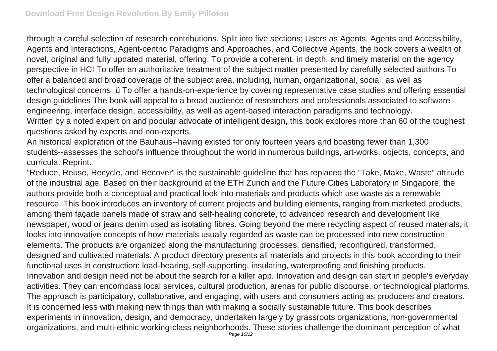through a careful selection of research contributions. Split into five sections; Users as Agents, Agents and Accessibility, Agents and Interactions, Agent-centric Paradigms and Approaches, and Collective Agents, the book covers a wealth of novel, original and fully updated material, offering: To provide a coherent, in depth, and timely material on the agency perspective in HCI To offer an authoritative treatment of the subject matter presented by carefully selected authors To offer a balanced and broad coverage of the subject area, including, human, organizational, social, as well as technological concerns. ü To offer a hands-on-experience by covering representative case studies and offering essential design guidelines The book will appeal to a broad audience of researchers and professionals associated to software engineering, interface design, accessibility, as well as agent-based interaction paradigms and technology. Written by a noted expert on and popular advocate of intelligent design, this book explores more than 60 of the toughest questions asked by experts and non-experts.

An historical exploration of the Bauhaus--having existed for only fourteen years and boasting fewer than 1,300 students--assesses the school's influence throughout the world in numerous buildings, art-works, objects, concepts, and curricula. Reprint.

"Reduce, Reuse, Recycle, and Recover" is the sustainable guideline that has replaced the "Take, Make, Waste" attitude of the industrial age. Based on their background at the ETH Zurich and the Future Cities Laboratory in Singapore, the authors provide both a conceptual and practical look into materials and products which use waste as a renewable resource. This book introduces an inventory of current projects and building elements, ranging from marketed products, among them façade panels made of straw and self-healing concrete, to advanced research and development like newspaper, wood or jeans denim used as isolating fibres. Going beyond the mere recycling aspect of reused materials, it looks into innovative concepts of how materials usually regarded as waste can be processed into new construction elements. The products are organized along the manufacturing processes: densified, reconfigured, transformed, designed and cultivated materials. A product directory presents all materials and projects in this book according to their functional uses in construction: load-bearing, self-supporting, insulating, waterproofing and finishing products. Innovation and design need not be about the search for a killer app. Innovation and design can start in people's everyday activities. They can encompass local services, cultural production, arenas for public discourse, or technological platforms. The approach is participatory, collaborative, and engaging, with users and consumers acting as producers and creators. It is concerned less with making new things than with making a socially sustainable future. This book describes experiments in innovation, design, and democracy, undertaken largely by grassroots organizations, non-governmental organizations, and multi-ethnic working-class neighborhoods. These stories challenge the dominant perception of what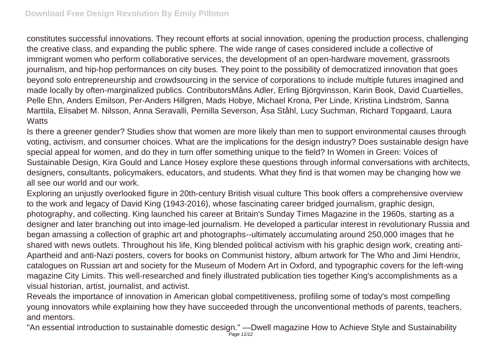constitutes successful innovations. They recount efforts at social innovation, opening the production process, challenging the creative class, and expanding the public sphere. The wide range of cases considered include a collective of immigrant women who perform collaborative services, the development of an open-hardware movement, grassroots journalism, and hip-hop performances on city buses. They point to the possibility of democratized innovation that goes beyond solo entrepreneurship and crowdsourcing in the service of corporations to include multiple futures imagined and made locally by often-marginalized publics. ContributorsMåns Adler, Erling Björgvinsson, Karin Book, David Cuartielles, Pelle Ehn, Anders Emilson, Per-Anders Hillgren, Mads Hobye, Michael Krona, Per Linde, Kristina Lindström, Sanna Marttila, Elisabet M. Nilsson, Anna Seravalli, Pernilla Severson, Åsa Ståhl, Lucy Suchman, Richard Topgaard, Laura **Watts** 

Is there a greener gender? Studies show that women are more likely than men to support environmental causes through voting, activism, and consumer choices. What are the implications for the design industry? Does sustainable design have special appeal for women, and do they in turn offer something unique to the field? In Women in Green: Voices of Sustainable Design, Kira Gould and Lance Hosey explore these questions through informal conversations with architects, designers, consultants, policymakers, educators, and students. What they find is that women may be changing how we all see our world and our work.

Exploring an unjustly overlooked figure in 20th-century British visual culture This book offers a comprehensive overview to the work and legacy of David King (1943-2016), whose fascinating career bridged journalism, graphic design, photography, and collecting. King launched his career at Britain's Sunday Times Magazine in the 1960s, starting as a designer and later branching out into image-led journalism. He developed a particular interest in revolutionary Russia and began amassing a collection of graphic art and photographs--ultimately accumulating around 250,000 images that he shared with news outlets. Throughout his life, King blended political activism with his graphic design work, creating anti-Apartheid and anti-Nazi posters, covers for books on Communist history, album artwork for The Who and Jimi Hendrix, catalogues on Russian art and society for the Museum of Modern Art in Oxford, and typographic covers for the left-wing magazine City Limits. This well-researched and finely illustrated publication ties together King's accomplishments as a visual historian, artist, journalist, and activist.

Reveals the importance of innovation in American global competitiveness, profiling some of today's most compelling young innovators while explaining how they have succeeded through the unconventional methods of parents, teachers, and mentors.

"An essential introduction to sustainable domestic design." —Dwell magazine How to Achieve Style and Sustainability **Page 11/12**